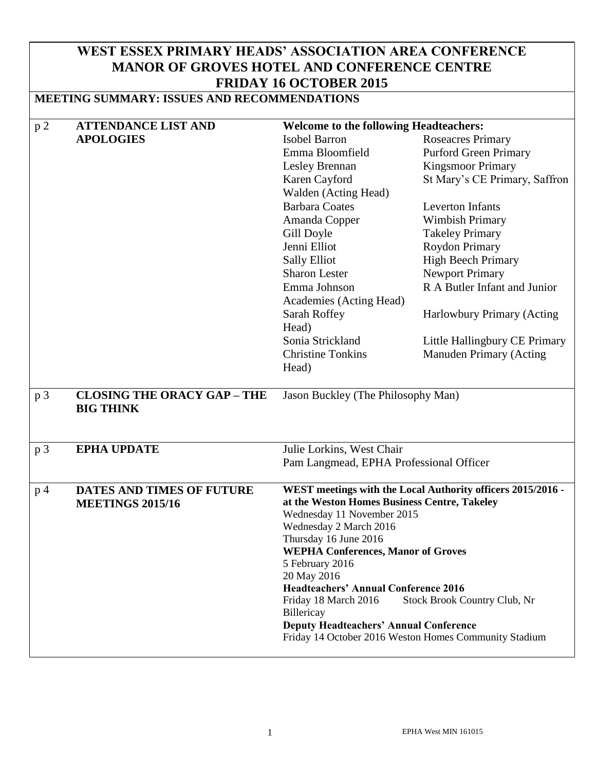# **WEST ESSEX PRIMARY HEADS' ASSOCIATION AREA CONFERENCE MANOR OF GROVES HOTEL AND CONFERENCE CENTRE FRIDAY 16 OCTOBER 2015**

# **MEETING SUMMARY: ISSUES AND RECOMMENDATIONS**

| p2             | <b>ATTENDANCE LIST AND</b>         | <b>Welcome to the following Headteachers:</b>               |                                                       |  |
|----------------|------------------------------------|-------------------------------------------------------------|-------------------------------------------------------|--|
|                | <b>APOLOGIES</b>                   | <b>Isobel Barron</b>                                        | <b>Roseacres Primary</b>                              |  |
|                |                                    | Emma Bloomfield                                             | <b>Purford Green Primary</b>                          |  |
|                |                                    | Lesley Brennan                                              | <b>Kingsmoor Primary</b>                              |  |
|                |                                    | Karen Cayford                                               | St Mary's CE Primary, Saffron                         |  |
|                |                                    | Walden (Acting Head)                                        |                                                       |  |
|                |                                    | <b>Barbara Coates</b>                                       | <b>Leverton Infants</b>                               |  |
|                |                                    | Amanda Copper                                               | <b>Wimbish Primary</b>                                |  |
|                |                                    | Gill Doyle                                                  | <b>Takeley Primary</b>                                |  |
|                |                                    | Jenni Elliot                                                | <b>Roydon Primary</b>                                 |  |
|                |                                    | <b>Sally Elliot</b>                                         | <b>High Beech Primary</b>                             |  |
|                |                                    | <b>Sharon Lester</b>                                        | <b>Newport Primary</b>                                |  |
|                |                                    | Emma Johnson                                                | R A Butler Infant and Junior                          |  |
|                |                                    | Academies (Acting Head)                                     |                                                       |  |
|                |                                    | Sarah Roffey                                                | Harlowbury Primary (Acting                            |  |
|                |                                    | Head)                                                       |                                                       |  |
|                |                                    | Sonia Strickland                                            | Little Hallingbury CE Primary                         |  |
|                |                                    | <b>Christine Tonkins</b>                                    | Manuden Primary (Acting                               |  |
|                |                                    | Head)                                                       |                                                       |  |
|                |                                    |                                                             |                                                       |  |
| p <sub>3</sub> | <b>CLOSING THE ORACY GAP - THE</b> |                                                             | Jason Buckley (The Philosophy Man)                    |  |
|                | <b>BIG THINK</b>                   |                                                             |                                                       |  |
|                |                                    |                                                             |                                                       |  |
|                |                                    |                                                             |                                                       |  |
| p 3            | <b>EPHA UPDATE</b>                 | Julie Lorkins, West Chair                                   |                                                       |  |
|                |                                    | Pam Langmead, EPHA Professional Officer                     |                                                       |  |
|                |                                    |                                                             |                                                       |  |
| p <sub>4</sub> | <b>DATES AND TIMES OF FUTURE</b>   | WEST meetings with the Local Authority officers 2015/2016 - |                                                       |  |
|                | <b>MEETINGS 2015/16</b>            | at the Weston Homes Business Centre, Takeley                |                                                       |  |
|                |                                    | Wednesday 11 November 2015                                  |                                                       |  |
|                |                                    | Wednesday 2 March 2016<br>Thursday 16 June 2016             |                                                       |  |
|                |                                    | <b>WEPHA Conferences, Manor of Groves</b>                   |                                                       |  |
|                |                                    | 5 February 2016                                             |                                                       |  |
|                |                                    | 20 May 2016                                                 |                                                       |  |
|                |                                    | <b>Headteachers' Annual Conference 2016</b>                 |                                                       |  |
|                |                                    | Friday 18 March 2016                                        | Stock Brook Country Club, Nr                          |  |
|                |                                    | Billericay                                                  |                                                       |  |
|                |                                    | <b>Deputy Headteachers' Annual Conference</b>               |                                                       |  |
|                |                                    |                                                             | Friday 14 October 2016 Weston Homes Community Stadium |  |
|                |                                    |                                                             |                                                       |  |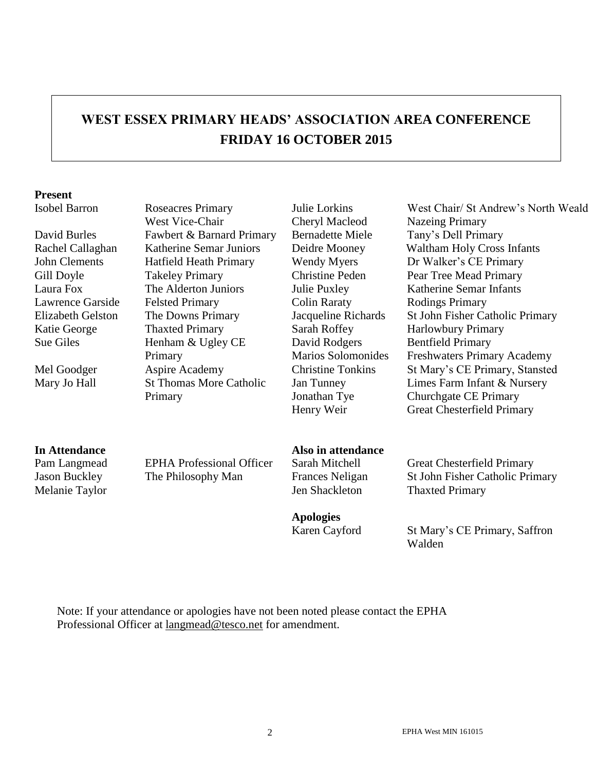# **WEST ESSEX PRIMARY HEADS' ASSOCIATION AREA CONFERENCE FRIDAY 16 OCTOBER 2015**

#### **Present**

Isobel Barron Roseacres Primary West Vice-Chair David Burles Fawbert & Barnard Primary Bernadette Miele Tany's Dell Primary John Clements Hatfield Heath Primary Wendy Myers Dr Walker's CE Primary Gill Doyle Takeley Primary Christine Peden Pear Tree Mead Primary Laura Fox The Alderton Juniors Julie Puxley Katherine Semar Infants Lawrence Garside Felsted Primary Colin Raraty Rodings Primary Katie George Thaxted Primary Sarah Roffey Harlowbury Primary Sue Giles Henham & Ugley CE Primary Mary Jo Hall St Thomas More Catholic Primary

Julie Lorkins Cheryl Macleod David Rodgers Marios Solomonides Jan Tunney Jonathan Tye

West Chair/ St Andrew's North Weald Nazeing Primary Rachel Callaghan Katherine Semar Juniors Deidre Mooney Waltham Holy Cross Infants Elizabeth Gelston The Downs Primary Jacqueline Richards St John Fisher Catholic Primary Bentfield Primary Freshwaters Primary Academy Mel Goodger Aspire Academy Christine Tonkins St Mary's CE Primary, Stansted Limes Farm Infant & Nursery Churchgate CE Primary Henry Weir Great Chesterfield Primary

#### **In Attendance Also in attendance**

Pam Langmead EPHA Professional Officer Sarah Mitchell Great Chesterfield Primary

**Apologies**

Jason Buckley The Philosophy Man Frances Neligan St John Fisher Catholic Primary Melanie Taylor **Internal Studiers** Jen Shackleton Thaxted Primary

> Karen Cayford St Mary's CE Primary, Saffron Walden

Note: If your attendance or apologies have not been noted please contact the EPHA Professional Officer at [langmead@tesco.net](mailto:langmead@tesco.net) for amendment.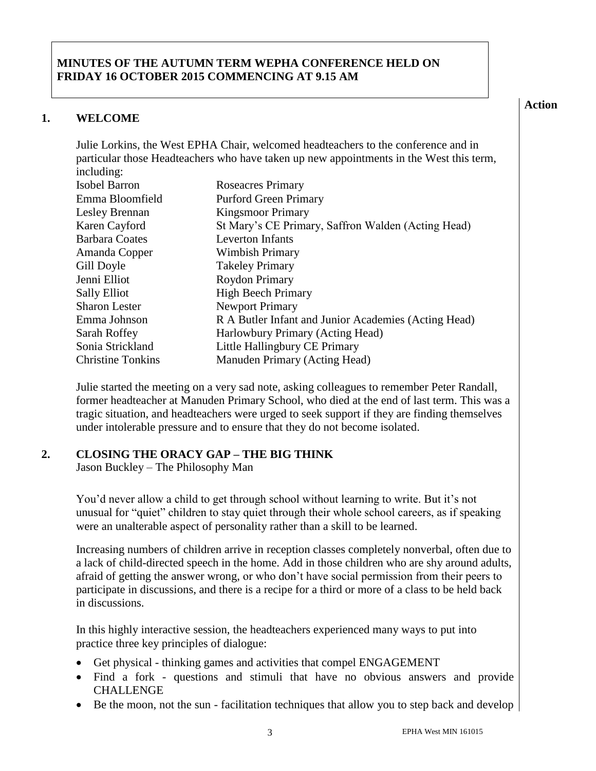### **MINUTES OF THE AUTUMN TERM WEPHA CONFERENCE HELD ON FRIDAY 16 OCTOBER 2015 COMMENCING AT 9.15 AM**

#### **1. WELCOME**

Julie Lorkins, the West EPHA Chair, welcomed headteachers to the conference and in particular those Headteachers who have taken up new appointments in the West this term, including:

| $m$ $m$                  |                                                      |
|--------------------------|------------------------------------------------------|
| <b>Isobel Barron</b>     | <b>Roseacres Primary</b>                             |
| Emma Bloomfield          | <b>Purford Green Primary</b>                         |
| Lesley Brennan           | <b>Kingsmoor Primary</b>                             |
| Karen Cayford            | St Mary's CE Primary, Saffron Walden (Acting Head)   |
| <b>Barbara Coates</b>    | <b>Leverton Infants</b>                              |
| Amanda Copper            | Wimbish Primary                                      |
| Gill Doyle               | <b>Takeley Primary</b>                               |
| Jenni Elliot             | Roydon Primary                                       |
| <b>Sally Elliot</b>      | <b>High Beech Primary</b>                            |
| <b>Sharon Lester</b>     | <b>Newport Primary</b>                               |
| Emma Johnson             | R A Butler Infant and Junior Academies (Acting Head) |
| Sarah Roffey             | Harlowbury Primary (Acting Head)                     |
| Sonia Strickland         | Little Hallingbury CE Primary                        |
| <b>Christine Tonkins</b> | Manuden Primary (Acting Head)                        |

Julie started the meeting on a very sad note, asking colleagues to remember Peter Randall, former headteacher at Manuden Primary School, who died at the end of last term. This was a tragic situation, and headteachers were urged to seek support if they are finding themselves under intolerable pressure and to ensure that they do not become isolated.

#### **2. CLOSING THE ORACY GAP – THE BIG THINK**

Jason Buckley – The Philosophy Man

You'd never allow a child to get through school without learning to write. But it's not unusual for "quiet" children to stay quiet through their whole school careers, as if speaking were an unalterable aspect of personality rather than a skill to be learned.

Increasing numbers of children arrive in reception classes completely nonverbal, often due to a lack of child-directed speech in the home. Add in those children who are shy around adults, afraid of getting the answer wrong, or who don't have social permission from their peers to participate in discussions, and there is a recipe for a third or more of a class to be held back in discussions.

In this highly interactive session, the headteachers experienced many ways to put into practice three key principles of dialogue:

- Get physical thinking games and activities that compel ENGAGEMENT
- Find a fork questions and stimuli that have no obvious answers and provide CHALLENGE
- Be the moon, not the sun facilitation techniques that allow you to step back and develop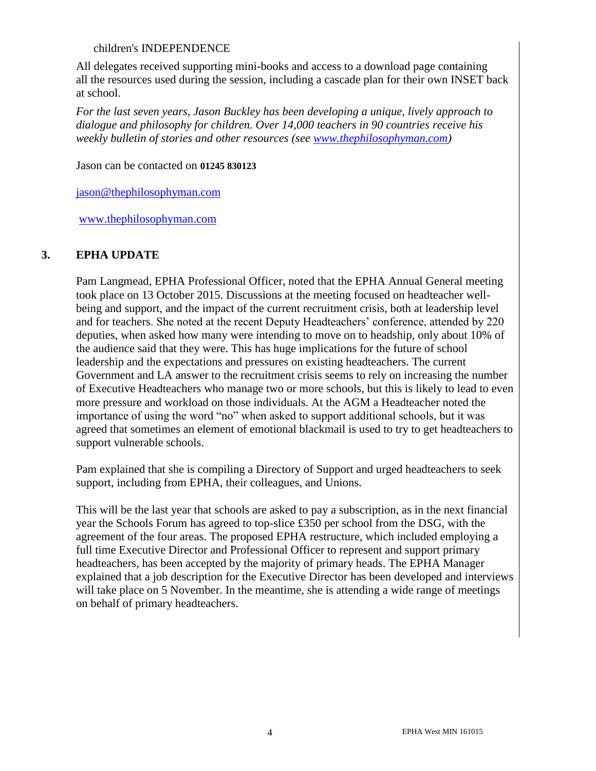#### children's INDEPENDENCE

All delegates received supporting mini-books and access to a download page containing all the resources used during the session, including a cascade plan for their own INSET back at school.

*For the last seven years, Jason Buckley has been developing a unique, lively approach to dialogue and philosophy for children. Over 14,000 teachers in 90 countries receive his weekly bulletin of stories and other resources (see [www.thephilosophyman.com\)](http://www.thephilosophyman.com/)* 

Jason can be contacted on **01245 830123**

[jason@thephilosophyman.com](mailto:jason@thephilosophyman.com)

[www.thephilosophyman.com](http://www.thephilosophyman.com/)

#### **3. EPHA UPDATE**

Pam Langmead, EPHA Professional Officer, noted that the EPHA Annual General meeting took place on 13 October 2015. Discussions at the meeting focused on headteacher wellbeing and support, and the impact of the current recruitment crisis, both at leadership level and for teachers. She noted at the recent Deputy Headteachers' conference, attended by 220 deputies, when asked how many were intending to move on to headship, only about 10% of the audience said that they were. This has huge implications for the future of school leadership and the expectations and pressures on existing headteachers. The current Government and LA answer to the recruitment crisis seems to rely on increasing the number of Executive Headteachers who manage two or more schools, but this is likely to lead to even more pressure and workload on those individuals. At the AGM a Headteacher noted the importance of using the word "no" when asked to support additional schools, but it was agreed that sometimes an element of emotional blackmail is used to try to get headteachers to support vulnerable schools.

Pam explained that she is compiling a Directory of Support and urged headteachers to seek support, including from EPHA, their colleagues, and Unions.

This will be the last year that schools are asked to pay a subscription, as in the next financial year the Schools Forum has agreed to top-slice £350 per school from the DSG, with the agreement of the four areas. The proposed EPHA restructure, which included employing a full time Executive Director and Professional Officer to represent and support primary headteachers, has been accepted by the majority of primary heads. The EPHA Manager explained that a job description for the Executive Director has been developed and interviews will take place on 5 November. In the meantime, she is attending a wide range of meetings on behalf of primary headteachers.